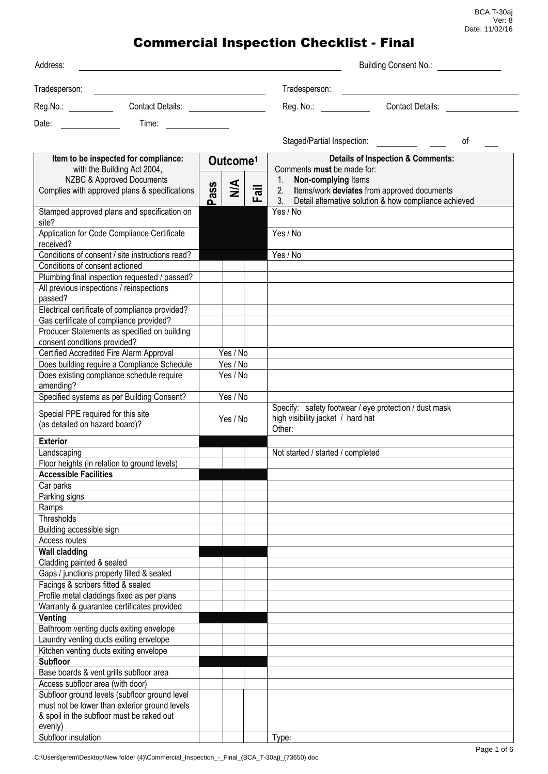| Address:                                                                                         |                                                                                                                                             |          |                      |      | Building Consent No.:                                                                                            |                         |    |
|--------------------------------------------------------------------------------------------------|---------------------------------------------------------------------------------------------------------------------------------------------|----------|----------------------|------|------------------------------------------------------------------------------------------------------------------|-------------------------|----|
| Tradesperson:                                                                                    | <u> 1989 - Johann Stoff, deutscher Stoffen und der Stoffen und der Stoffen und der Stoffen und der Stoffen und der</u>                      |          |                      |      | Tradesperson:                                                                                                    |                         |    |
| Contact Details: ________________<br>Reg.No.: Reg.No                                             |                                                                                                                                             |          |                      |      | Reg. No.:                                                                                                        | <b>Contact Details:</b> |    |
| Date:                                                                                            | Time:                                                                                                                                       |          |                      |      |                                                                                                                  |                         |    |
|                                                                                                  |                                                                                                                                             |          |                      |      |                                                                                                                  |                         |    |
|                                                                                                  |                                                                                                                                             |          |                      |      | Staged/Partial Inspection:                                                                                       |                         | οf |
| Item to be inspected for compliance:<br>with the Building Act 2004,<br>NZBC & Approved Documents |                                                                                                                                             |          | Outcome <sup>1</sup> |      | <b>Details of Inspection &amp; Comments:</b><br>Comments must be made for:<br>Non-complying Items<br>1.          |                         |    |
|                                                                                                  | Complies with approved plans & specifications                                                                                               | Pass     | $\frac{4}{2}$        | Fail | Items/work deviates from approved documents<br>2.<br>3.<br>Detail alternative solution & how compliance achieved |                         |    |
| site?                                                                                            | Stamped approved plans and specification on                                                                                                 |          |                      |      | Yes / No                                                                                                         |                         |    |
| received?                                                                                        | Application for Code Compliance Certificate                                                                                                 |          |                      |      | Yes / No                                                                                                         |                         |    |
|                                                                                                  | Conditions of consent / site instructions read?                                                                                             |          |                      |      | Yes / No                                                                                                         |                         |    |
| Conditions of consent actioned                                                                   |                                                                                                                                             |          |                      |      |                                                                                                                  |                         |    |
|                                                                                                  | Plumbing final inspection requested / passed?                                                                                               |          |                      |      |                                                                                                                  |                         |    |
| passed?                                                                                          | All previous inspections / reinspections                                                                                                    |          |                      |      |                                                                                                                  |                         |    |
|                                                                                                  | Electrical certificate of compliance provided?                                                                                              |          |                      |      |                                                                                                                  |                         |    |
|                                                                                                  | Gas certificate of compliance provided?                                                                                                     |          |                      |      |                                                                                                                  |                         |    |
| consent conditions provided?                                                                     | Producer Statements as specified on building                                                                                                |          |                      |      |                                                                                                                  |                         |    |
|                                                                                                  | Certified Accredited Fire Alarm Approval                                                                                                    |          | Yes / No             |      |                                                                                                                  |                         |    |
|                                                                                                  | Does building require a Compliance Schedule                                                                                                 |          | Yes / No             |      |                                                                                                                  |                         |    |
|                                                                                                  | Does existing compliance schedule require                                                                                                   |          | Yes / No             |      |                                                                                                                  |                         |    |
| amending?                                                                                        |                                                                                                                                             |          |                      |      |                                                                                                                  |                         |    |
|                                                                                                  | Specified systems as per Building Consent?                                                                                                  |          | Yes / No             |      |                                                                                                                  |                         |    |
| Special PPE required for this site<br>(as detailed on hazard board)?                             |                                                                                                                                             | Yes / No |                      |      | Specify: safety footwear / eye protection / dust mask<br>high visibility jacket / hard hat<br>Other:             |                         |    |
| <b>Exterior</b>                                                                                  |                                                                                                                                             |          |                      |      |                                                                                                                  |                         |    |
| Landscaping                                                                                      |                                                                                                                                             |          |                      |      | Not started / started / completed                                                                                |                         |    |
|                                                                                                  | Floor heights (in relation to ground levels)                                                                                                |          |                      |      |                                                                                                                  |                         |    |
| <b>Accessible Facilities</b>                                                                     |                                                                                                                                             |          |                      |      |                                                                                                                  |                         |    |
| Car parks                                                                                        |                                                                                                                                             |          |                      |      |                                                                                                                  |                         |    |
| Parking signs                                                                                    |                                                                                                                                             |          |                      |      |                                                                                                                  |                         |    |
| Ramps                                                                                            |                                                                                                                                             |          |                      |      |                                                                                                                  |                         |    |
| Thresholds                                                                                       |                                                                                                                                             |          |                      |      |                                                                                                                  |                         |    |
| Building accessible sign<br>Access routes                                                        |                                                                                                                                             |          |                      |      |                                                                                                                  |                         |    |
| <b>Wall cladding</b>                                                                             |                                                                                                                                             |          |                      |      |                                                                                                                  |                         |    |
| Cladding painted & sealed                                                                        |                                                                                                                                             |          |                      |      |                                                                                                                  |                         |    |
|                                                                                                  | Gaps / junctions properly filled & sealed                                                                                                   |          |                      |      |                                                                                                                  |                         |    |
| Facings & scribers fitted & sealed                                                               |                                                                                                                                             |          |                      |      |                                                                                                                  |                         |    |
|                                                                                                  | Profile metal claddings fixed as per plans                                                                                                  |          |                      |      |                                                                                                                  |                         |    |
|                                                                                                  | Warranty & guarantee certificates provided                                                                                                  |          |                      |      |                                                                                                                  |                         |    |
| Venting                                                                                          |                                                                                                                                             |          |                      |      |                                                                                                                  |                         |    |
|                                                                                                  | Bathroom venting ducts exiting envelope                                                                                                     |          |                      |      |                                                                                                                  |                         |    |
|                                                                                                  | Laundry venting ducts exiting envelope                                                                                                      |          |                      |      |                                                                                                                  |                         |    |
|                                                                                                  | Kitchen venting ducts exiting envelope                                                                                                      |          |                      |      |                                                                                                                  |                         |    |
| <b>Subfloor</b>                                                                                  |                                                                                                                                             |          |                      |      |                                                                                                                  |                         |    |
|                                                                                                  | Base boards & vent grills subfloor area                                                                                                     |          |                      |      |                                                                                                                  |                         |    |
| Access subfloor area (with door)                                                                 |                                                                                                                                             |          |                      |      |                                                                                                                  |                         |    |
|                                                                                                  | Subfloor ground levels (subfloor ground level<br>must not be lower than exterior ground levels<br>& spoil in the subfloor must be raked out |          |                      |      |                                                                                                                  |                         |    |
| evenly)                                                                                          |                                                                                                                                             |          |                      |      |                                                                                                                  |                         |    |
| Subfloor insulation                                                                              |                                                                                                                                             |          |                      |      | Type:                                                                                                            |                         |    |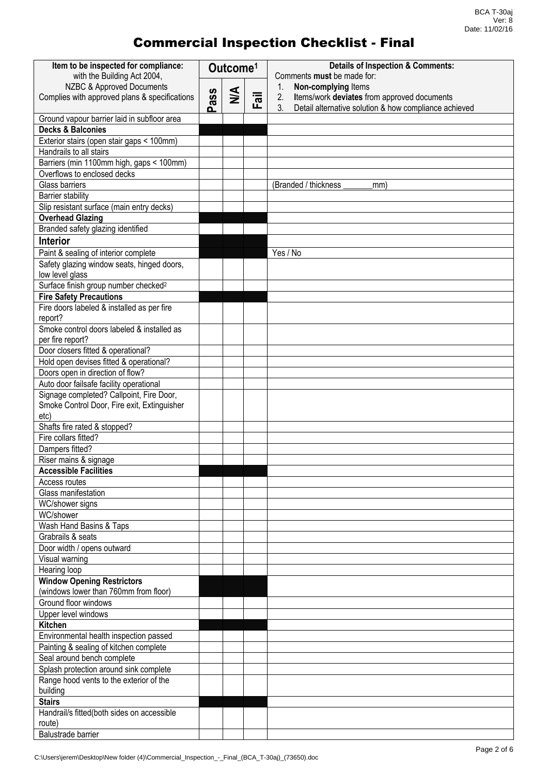| Item to be inspected for compliance:<br>with the Building Act 2004, | Outcome <sup>1</sup> |        |           | <b>Details of Inspection &amp; Comments:</b><br>Comments must be made for: |
|---------------------------------------------------------------------|----------------------|--------|-----------|----------------------------------------------------------------------------|
| NZBC & Approved Documents                                           |                      |        |           | 1.<br>Non-complying Items                                                  |
| Complies with approved plans & specifications                       | ass                  | $\leq$ | $\bar{a}$ | Items/work deviates from approved documents<br>2.                          |
|                                                                     | ൨                    |        | ட         | 3 <sub>1</sub><br>Detail alternative solution & how compliance achieved    |
| Ground vapour barrier laid in subfloor area                         |                      |        |           |                                                                            |
| <b>Decks &amp; Balconies</b>                                        |                      |        |           |                                                                            |
| Exterior stairs (open stair gaps < 100mm)                           |                      |        |           |                                                                            |
| Handrails to all stairs                                             |                      |        |           |                                                                            |
| Barriers (min 1100mm high, gaps < 100mm)                            |                      |        |           |                                                                            |
| Overflows to enclosed decks                                         |                      |        |           |                                                                            |
| Glass barriers                                                      |                      |        |           | (Branded / thickness<br>mm)                                                |
| <b>Barrier stability</b>                                            |                      |        |           |                                                                            |
| Slip resistant surface (main entry decks)                           |                      |        |           |                                                                            |
| <b>Overhead Glazing</b>                                             |                      |        |           |                                                                            |
| Branded safety glazing identified                                   |                      |        |           |                                                                            |
| <b>Interior</b>                                                     |                      |        |           |                                                                            |
| Paint & sealing of interior complete                                |                      |        |           | Yes / No                                                                   |
| Safety glazing window seats, hinged doors,<br>low level glass       |                      |        |           |                                                                            |
| Surface finish group number checked <sup>2</sup>                    |                      |        |           |                                                                            |
| <b>Fire Safety Precautions</b>                                      |                      |        |           |                                                                            |
| Fire doors labeled & installed as per fire                          |                      |        |           |                                                                            |
| report?                                                             |                      |        |           |                                                                            |
| Smoke control doors labeled & installed as<br>per fire report?      |                      |        |           |                                                                            |
| Door closers fitted & operational?                                  |                      |        |           |                                                                            |
| Hold open devises fitted & operational?                             |                      |        |           |                                                                            |
| Doors open in direction of flow?                                    |                      |        |           |                                                                            |
| Auto door failsafe facility operational                             |                      |        |           |                                                                            |
| Signage completed? Callpoint, Fire Door,                            |                      |        |           |                                                                            |
| Smoke Control Door, Fire exit, Extinguisher                         |                      |        |           |                                                                            |
| etc)<br>Shafts fire rated & stopped?                                |                      |        |           |                                                                            |
| Fire collars fitted?                                                |                      |        |           |                                                                            |
| Dampers fitted?                                                     |                      |        |           |                                                                            |
| Riser mains & signage                                               |                      |        |           |                                                                            |
| <b>Accessible Facilities</b>                                        |                      |        |           |                                                                            |
| Access routes                                                       |                      |        |           |                                                                            |
| Glass manifestation                                                 |                      |        |           |                                                                            |
| WC/shower signs                                                     |                      |        |           |                                                                            |
| WC/shower                                                           |                      |        |           |                                                                            |
| Wash Hand Basins & Taps                                             |                      |        |           |                                                                            |
| Grabrails & seats                                                   |                      |        |           |                                                                            |
| Door width / opens outward                                          |                      |        |           |                                                                            |
| Visual warning                                                      |                      |        |           |                                                                            |
| Hearing loop                                                        |                      |        |           |                                                                            |
| <b>Window Opening Restrictors</b>                                   |                      |        |           |                                                                            |
| (windows lower than 760mm from floor)<br>Ground floor windows       |                      |        |           |                                                                            |
| Upper level windows                                                 |                      |        |           |                                                                            |
| Kitchen                                                             |                      |        |           |                                                                            |
| Environmental health inspection passed                              |                      |        |           |                                                                            |
| Painting & sealing of kitchen complete                              |                      |        |           |                                                                            |
| Seal around bench complete                                          |                      |        |           |                                                                            |
| Splash protection around sink complete                              |                      |        |           |                                                                            |
| Range hood vents to the exterior of the                             |                      |        |           |                                                                            |
| building                                                            |                      |        |           |                                                                            |
| <b>Stairs</b>                                                       |                      |        |           |                                                                            |
| Handrail/s fitted(both sides on accessible                          |                      |        |           |                                                                            |
| route)                                                              |                      |        |           |                                                                            |
| Balustrade barrier                                                  |                      |        |           |                                                                            |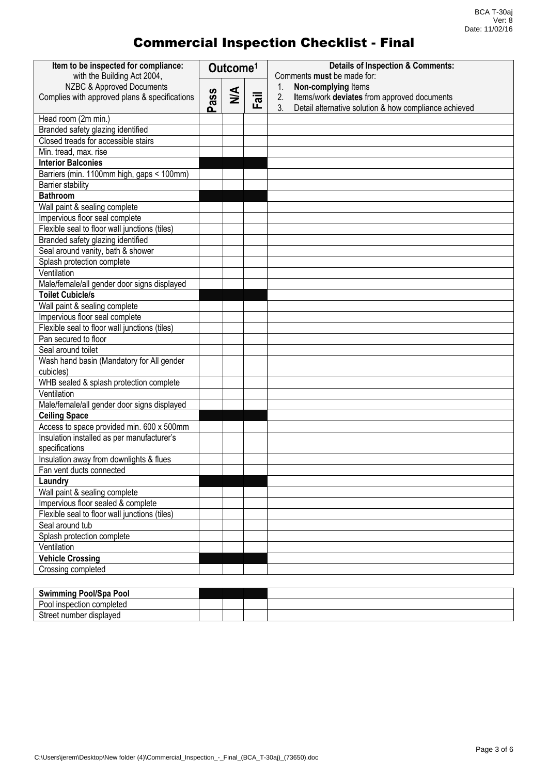| Item to be inspected for compliance:<br>with the Building Act 2004, |     | Outcome <sup>1</sup> |                           | <b>Details of Inspection &amp; Comments:</b><br>Comments must be made for: |  |  |
|---------------------------------------------------------------------|-----|----------------------|---------------------------|----------------------------------------------------------------------------|--|--|
| NZBC & Approved Documents                                           |     |                      |                           | Non-complying Items<br>1.                                                  |  |  |
| Complies with approved plans & specifications                       | ass | $\leq$               | $\overline{\overline{a}}$ | 2.<br>Items/work deviates from approved documents                          |  |  |
|                                                                     | ൨   |                      | ட                         | 3.<br>Detail alternative solution & how compliance achieved                |  |  |
| Head room (2m min.)                                                 |     |                      |                           |                                                                            |  |  |
| Branded safety glazing identified                                   |     |                      |                           |                                                                            |  |  |
| Closed treads for accessible stairs                                 |     |                      |                           |                                                                            |  |  |
| Min. tread, max. rise                                               |     |                      |                           |                                                                            |  |  |
| <b>Interior Balconies</b>                                           |     |                      |                           |                                                                            |  |  |
| Barriers (min. 1100mm high, gaps < 100mm)                           |     |                      |                           |                                                                            |  |  |
| <b>Barrier stability</b>                                            |     |                      |                           |                                                                            |  |  |
| <b>Bathroom</b>                                                     |     |                      |                           |                                                                            |  |  |
| Wall paint & sealing complete                                       |     |                      |                           |                                                                            |  |  |
| Impervious floor seal complete                                      |     |                      |                           |                                                                            |  |  |
| Flexible seal to floor wall junctions (tiles)                       |     |                      |                           |                                                                            |  |  |
| Branded safety glazing identified                                   |     |                      |                           |                                                                            |  |  |
| Seal around vanity, bath & shower                                   |     |                      |                           |                                                                            |  |  |
| Splash protection complete                                          |     |                      |                           |                                                                            |  |  |
| Ventilation                                                         |     |                      |                           |                                                                            |  |  |
| Male/female/all gender door signs displayed                         |     |                      |                           |                                                                            |  |  |
| <b>Toilet Cubicle/s</b>                                             |     |                      |                           |                                                                            |  |  |
| Wall paint & sealing complete                                       |     |                      |                           |                                                                            |  |  |
| Impervious floor seal complete                                      |     |                      |                           |                                                                            |  |  |
| Flexible seal to floor wall junctions (tiles)                       |     |                      |                           |                                                                            |  |  |
| Pan secured to floor                                                |     |                      |                           |                                                                            |  |  |
| Seal around toilet                                                  |     |                      |                           |                                                                            |  |  |
| Wash hand basin (Mandatory for All gender                           |     |                      |                           |                                                                            |  |  |
| cubicles)                                                           |     |                      |                           |                                                                            |  |  |
| WHB sealed & splash protection complete                             |     |                      |                           |                                                                            |  |  |
| Ventilation                                                         |     |                      |                           |                                                                            |  |  |
| Male/female/all gender door signs displayed                         |     |                      |                           |                                                                            |  |  |
| <b>Ceiling Space</b>                                                |     |                      |                           |                                                                            |  |  |
| Access to space provided min. 600 x 500mm                           |     |                      |                           |                                                                            |  |  |
| Insulation installed as per manufacturer's                          |     |                      |                           |                                                                            |  |  |
| specifications                                                      |     |                      |                           |                                                                            |  |  |
| Insulation away from downlights & flues                             |     |                      |                           |                                                                            |  |  |
| Fan vent ducts connected                                            |     |                      |                           |                                                                            |  |  |
| Laundry                                                             |     |                      |                           |                                                                            |  |  |
| Wall paint & sealing complete                                       |     |                      |                           |                                                                            |  |  |
| Impervious floor sealed & complete                                  |     |                      |                           |                                                                            |  |  |
| Flexible seal to floor wall junctions (tiles)                       |     |                      |                           |                                                                            |  |  |
| Seal around tub                                                     |     |                      |                           |                                                                            |  |  |
| Splash protection complete                                          |     |                      |                           |                                                                            |  |  |
| Ventilation                                                         |     |                      |                           |                                                                            |  |  |
| <b>Vehicle Crossing</b>                                             |     |                      |                           |                                                                            |  |  |
| Crossing completed                                                  |     |                      |                           |                                                                            |  |  |

| ool/Spa<br><b>Pool</b><br><b>Swimming</b><br>יי |  |  |
|-------------------------------------------------|--|--|
| -<br>าspection completed<br>. പ                 |  |  |
| $\sim$<br>.<br>. number<br>displaved<br>eer     |  |  |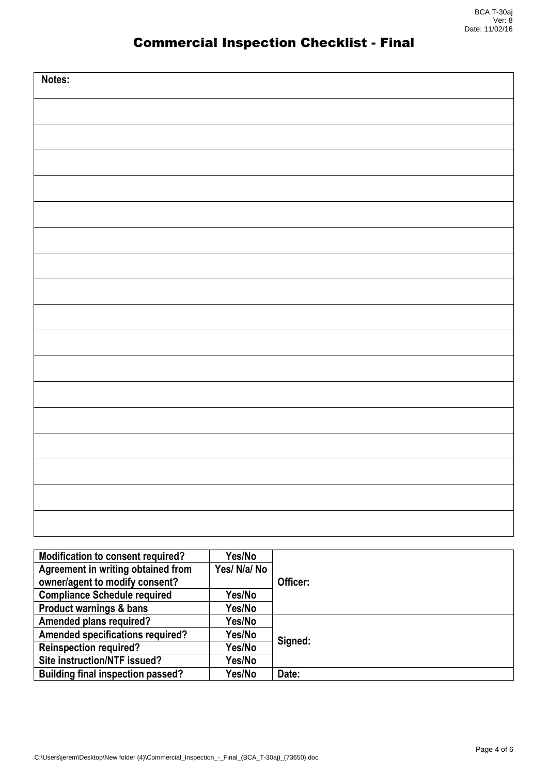| Notes: |
|--------|
|        |
|        |
|        |
|        |
|        |
|        |
|        |
|        |
|        |
|        |
|        |
|        |
|        |
|        |
|        |
|        |
|        |

| <b>Modification to consent required?</b> | Yes/No       |          |  |  |
|------------------------------------------|--------------|----------|--|--|
| Agreement in writing obtained from       | Yes/ N/a/ No |          |  |  |
| owner/agent to modify consent?           |              | Officer: |  |  |
| <b>Compliance Schedule required</b>      | Yes/No       |          |  |  |
| <b>Product warnings &amp; bans</b>       | Yes/No       |          |  |  |
| <b>Amended plans required?</b>           | Yes/No       |          |  |  |
| Amended specifications required?         | Yes/No       |          |  |  |
| <b>Reinspection required?</b>            | Yes/No       | Signed:  |  |  |
| Site instruction/NTF issued?             | Yes/No       |          |  |  |
| <b>Building final inspection passed?</b> | Yes/No       | Date:    |  |  |
|                                          |              |          |  |  |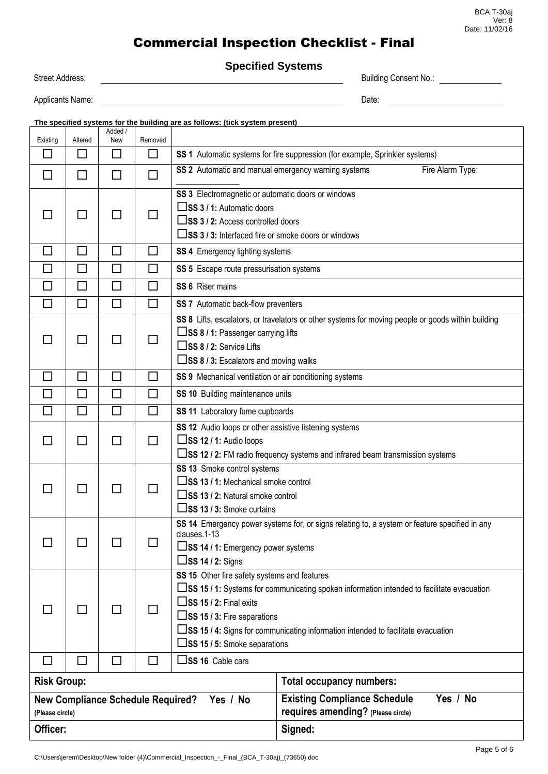#### BCA T-30aj Ver: 8 Date: 11/02/16

#### Commercial Inspection Checklist - Final

**Specified Systems**

Street Address: **Building Consent No.: Building Consent No.:** 

Applicants Name: Date:

| The specified systems for the building are as follows: (tick system present) |                             |                          |                          |                                                                                                                                                                                                                                                                                                                                                                          |                                                                                                                                                                                           |          |  |  |  |  |
|------------------------------------------------------------------------------|-----------------------------|--------------------------|--------------------------|--------------------------------------------------------------------------------------------------------------------------------------------------------------------------------------------------------------------------------------------------------------------------------------------------------------------------------------------------------------------------|-------------------------------------------------------------------------------------------------------------------------------------------------------------------------------------------|----------|--|--|--|--|
| Existing                                                                     | Altered                     | Added /<br>New           | Removed                  |                                                                                                                                                                                                                                                                                                                                                                          |                                                                                                                                                                                           |          |  |  |  |  |
| $\Box$                                                                       | $\Box$                      | ΙI                       | □                        | SS 1 Automatic systems for fire suppression (for example, Sprinkler systems)                                                                                                                                                                                                                                                                                             |                                                                                                                                                                                           |          |  |  |  |  |
| $\Box$                                                                       | $\Box$                      | П                        | П                        | SS 2 Automatic and manual emergency warning systems<br>Fire Alarm Type:                                                                                                                                                                                                                                                                                                  |                                                                                                                                                                                           |          |  |  |  |  |
|                                                                              | $\blacksquare$              |                          |                          | SS 3 Electromagnetic or automatic doors or windows<br>$\square$ SS 3 / 1: Automatic doors<br>SS 3 / 2: Access controlled doors<br>□SS 3 / 3: Interfaced fire or smoke doors or windows                                                                                                                                                                                   |                                                                                                                                                                                           |          |  |  |  |  |
| $\mathbf{L}$                                                                 | $\Box$                      | $\overline{\phantom{a}}$ | $\Box$                   | <b>SS 4</b> Emergency lighting systems                                                                                                                                                                                                                                                                                                                                   |                                                                                                                                                                                           |          |  |  |  |  |
| П                                                                            | $\Box$                      | П                        | $\Box$                   | SS 5 Escape route pressurisation systems                                                                                                                                                                                                                                                                                                                                 |                                                                                                                                                                                           |          |  |  |  |  |
| П                                                                            | $\Box$                      | П                        | П                        | SS 6 Riser mains                                                                                                                                                                                                                                                                                                                                                         |                                                                                                                                                                                           |          |  |  |  |  |
| $\Box$                                                                       | $\Box$                      | $\Box$                   | □                        | SS 7 Automatic back-flow preventers                                                                                                                                                                                                                                                                                                                                      |                                                                                                                                                                                           |          |  |  |  |  |
|                                                                              | $\blacksquare$              | $\mathcal{L}$            | $\Box$                   | □SS 8 / 2: Service Lifts                                                                                                                                                                                                                                                                                                                                                 | SS 8 Lifts, escalators, or travelators or other systems for moving people or goods within building<br>□SS 8 / 1: Passenger carrying lifts<br>$\Box$ SS 8 / 3: Escalators and moving walks |          |  |  |  |  |
| □                                                                            | $\Box$                      | П                        | □                        | SS 9 Mechanical ventilation or air conditioning systems                                                                                                                                                                                                                                                                                                                  |                                                                                                                                                                                           |          |  |  |  |  |
|                                                                              | $\Box$                      | $\Box$                   | П                        |                                                                                                                                                                                                                                                                                                                                                                          | SS 10 Building maintenance units                                                                                                                                                          |          |  |  |  |  |
|                                                                              | $\mathcal{L}_{\mathcal{A}}$ | $\mathsf{L}$             | П                        | SS 11 Laboratory fume cupboards                                                                                                                                                                                                                                                                                                                                          |                                                                                                                                                                                           |          |  |  |  |  |
|                                                                              | П                           | $\blacksquare$           | П                        | SS 12 Audio loops or other assistive listening systems<br>$\square$ SS 12 / 1: Audio loops<br>□SS 12 / 2: FM radio frequency systems and infrared beam transmission systems                                                                                                                                                                                              |                                                                                                                                                                                           |          |  |  |  |  |
|                                                                              |                             |                          |                          | SS 13 Smoke control systems<br>□SS 13 / 1: Mechanical smoke control<br>SS 13 / 2: Natural smoke control<br>$\square$ SS 13 / 3: Smoke curtains                                                                                                                                                                                                                           |                                                                                                                                                                                           |          |  |  |  |  |
|                                                                              |                             |                          |                          | SS 14 Emergency power systems for, or signs relating to, a system or feature specified in any<br>clauses.1-13<br>□SS 14 / 1: Emergency power systems<br>$\square$ SS 14 / 2: Signs                                                                                                                                                                                       |                                                                                                                                                                                           |          |  |  |  |  |
|                                                                              |                             |                          |                          | SS 15 Other fire safety systems and features<br>$\square$ SS 15 / 1: Systems for communicating spoken information intended to facilitate evacuation<br>$\square$ SS 15 / 2: Final exits<br>$\square$ SS 15 / 3: Fire separations<br>$\square$ SS 15 / 4: Signs for communicating information intended to facilitate evacuation<br>$\square$ SS 15 / 5: Smoke separations |                                                                                                                                                                                           |          |  |  |  |  |
|                                                                              | $\overline{\phantom{a}}$    | <b>College</b>           | $\overline{\phantom{a}}$ | $\square$ SS 16 Cable cars                                                                                                                                                                                                                                                                                                                                               |                                                                                                                                                                                           |          |  |  |  |  |
| <b>Risk Group:</b>                                                           |                             |                          |                          |                                                                                                                                                                                                                                                                                                                                                                          | <b>Total occupancy numbers:</b>                                                                                                                                                           |          |  |  |  |  |
| <b>New Compliance Schedule Required?</b><br>Yes / No<br>(Please circle)      |                             |                          |                          |                                                                                                                                                                                                                                                                                                                                                                          | <b>Existing Compliance Schedule</b><br>requires amending? (Please circle)                                                                                                                 | Yes / No |  |  |  |  |

Officer: Signed: Signed: Signed: Signed: Signed: Signed: Signed: Signed: Signed: Signed: Signed: Signed: Signed: Signed: Signed: Signed: Signed: Signed: Signed: Signed: Signed: Signed: Signed: Signed: Signed: Signed: Signe